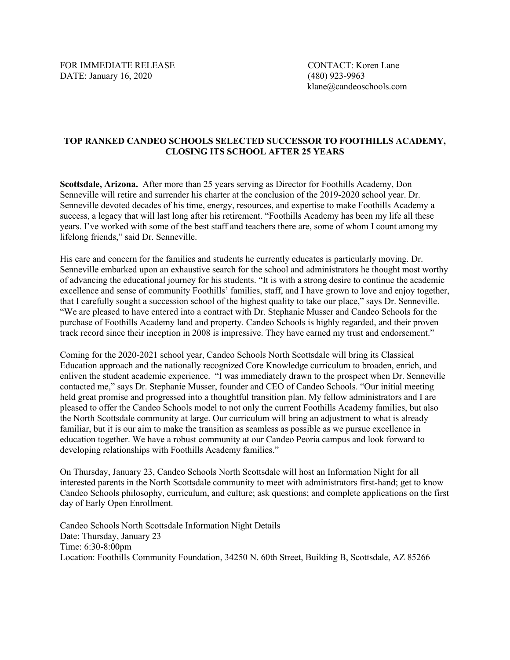FOR IMMEDIATE RELEASE CONTACT: Koren Lane DATE: January 16, 2020 (480) 923-9963

klane@candeoschools.com

## **TOP RANKED CANDEO SCHOOLS SELECTED SUCCESSOR TO FOOTHILLS ACADEMY, CLOSING ITS SCHOOL AFTER 25 YEARS**

**Scottsdale, Arizona.** After more than 25 years serving as Director for Foothills Academy, Don Senneville will retire and surrender his charter at the conclusion of the 2019-2020 school year. Dr. Senneville devoted decades of his time, energy, resources, and expertise to make Foothills Academy a success, a legacy that will last long after his retirement. "Foothills Academy has been my life all these years. I've worked with some of the best staff and teachers there are, some of whom I count among my lifelong friends," said Dr. Senneville.

His care and concern for the families and students he currently educates is particularly moving. Dr. Senneville embarked upon an exhaustive search for the school and administrators he thought most worthy of advancing the educational journey for his students. "It is with a strong desire to continue the academic excellence and sense of community Foothills' families, staff, and I have grown to love and enjoy together, that I carefully sought a succession school of the highest quality to take our place," says Dr. Senneville. "We are pleased to have entered into a contract with Dr. Stephanie Musser and Candeo Schools for the purchase of Foothills Academy land and property. Candeo Schools is highly regarded, and their proven track record since their inception in 2008 is impressive. They have earned my trust and endorsement."

Coming for the 2020-2021 school year, Candeo Schools North Scottsdale will bring its Classical Education approach and the nationally recognized Core Knowledge curriculum to broaden, enrich, and enliven the student academic experience. "I was immediately drawn to the prospect when Dr. Senneville contacted me," says Dr. Stephanie Musser, founder and CEO of Candeo Schools. "Our initial meeting held great promise and progressed into a thoughtful transition plan. My fellow administrators and I are pleased to offer the Candeo Schools model to not only the current Foothills Academy families, but also the North Scottsdale community at large. Our curriculum will bring an adjustment to what is already familiar, but it is our aim to make the transition as seamless as possible as we pursue excellence in education together. We have a robust community at our Candeo Peoria campus and look forward to developing relationships with Foothills Academy families."

On Thursday, January 23, Candeo Schools North Scottsdale will host an Information Night for all interested parents in the North Scottsdale community to meet with administrators first-hand; get to know Candeo Schools philosophy, curriculum, and culture; ask questions; and complete applications on the first day of Early Open Enrollment.

Candeo Schools North Scottsdale Information Night Details Date: Thursday, January 23 Time: 6:30-8:00pm Location: Foothills Community Foundation, 34250 N. 60th Street, Building B, Scottsdale, AZ 85266